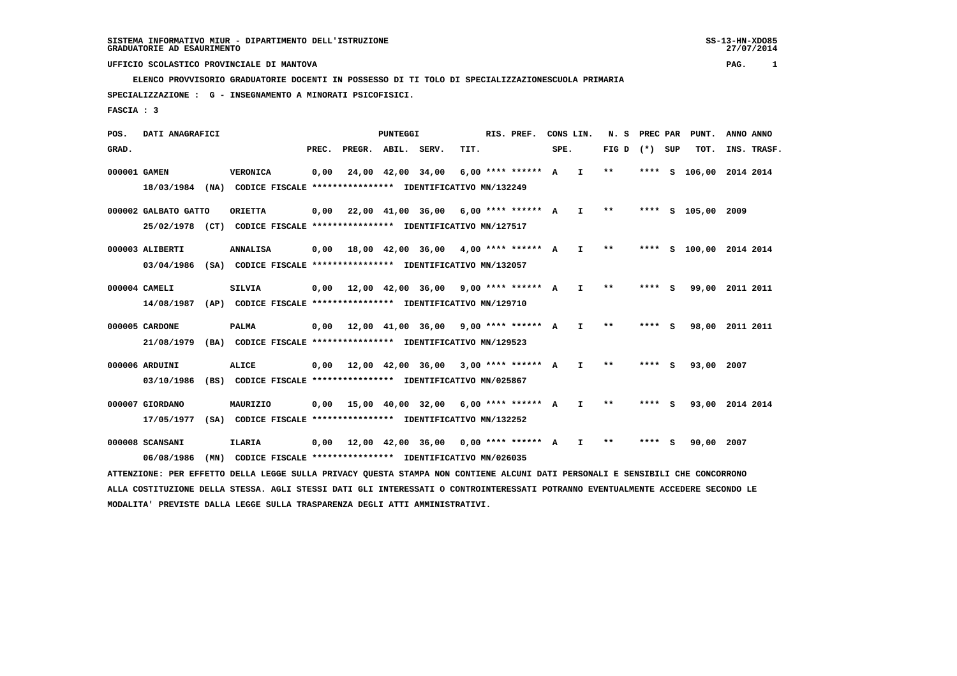**ELENCO PROVVISORIO GRADUATORIE DOCENTI IN POSSESSO DI TI TOLO DI SPECIALIZZAZIONESCUOLA PRIMARIA**

 **SPECIALIZZAZIONE : G - INSEGNAMENTO A MINORATI PSICOFISICI.**

 **FASCIA : 3**

 **POS. DATI ANAGRAFICI PUNTEGGI RIS. PREF. CONS LIN. N. S PREC PAR PUNT. ANNO ANNO**GRAD. **BRAD. PREC. PREGR. ABIL. SERV. TIT.** SPE. FIG D (\*) SUP TOT. INS. TRASF.  **000001 GAMEN VERONICA 0,00 24,00 42,00 34,00 6,00 \*\*\*\* \*\*\*\*\*\* A I \*\* \*\*\*\* S 106,00 2014 2014 18/03/1984 (NA) CODICE FISCALE \*\*\*\*\*\*\*\*\*\*\*\*\*\*\*\* IDENTIFICATIVO MN/132249 000002 GALBATO GATTO ORIETTA 0,00 22,00 41,00 36,00 6,00 \*\*\*\* \*\*\*\*\*\* A I \*\* \*\*\*\* S 105,00 2009 25/02/1978 (CT) CODICE FISCALE \*\*\*\*\*\*\*\*\*\*\*\*\*\*\*\* IDENTIFICATIVO MN/127517 000003 ALIBERTI ANNALISA 0,00 18,00 42,00 36,00 4,00 \*\*\*\* \*\*\*\*\*\* A I \*\* \*\*\*\* S 100,00 2014 2014**

 **03/04/1986 (SA) CODICE FISCALE \*\*\*\*\*\*\*\*\*\*\*\*\*\*\*\* IDENTIFICATIVO MN/132057**

 **000004 CAMELI SILVIA 0,00 12,00 42,00 36,00 9,00 \*\*\*\* \*\*\*\*\*\* A I \*\* \*\*\*\* S 99,00 2011 2011 14/08/1987 (AP) CODICE FISCALE \*\*\*\*\*\*\*\*\*\*\*\*\*\*\*\* IDENTIFICATIVO MN/129710**

 **000005 CARDONE PALMA 0,00 12,00 41,00 36,00 9,00 \*\*\*\* \*\*\*\*\*\* A I \*\* \*\*\*\* S 98,00 2011 2011 21/08/1979 (BA) CODICE FISCALE \*\*\*\*\*\*\*\*\*\*\*\*\*\*\*\* IDENTIFICATIVO MN/129523**

 **000006 ARDUINI ALICE 0,00 12,00 42,00 36,00 3,00 \*\*\*\* \*\*\*\*\*\* A I \*\* \*\*\*\* S 93,00 2007 03/10/1986 (BS) CODICE FISCALE \*\*\*\*\*\*\*\*\*\*\*\*\*\*\*\* IDENTIFICATIVO MN/025867**

 **000007 GIORDANO MAURIZIO 0,00 15,00 40,00 32,00 6,00 \*\*\*\* \*\*\*\*\*\* A I \*\* \*\*\*\* S 93,00 2014 2014 17/05/1977 (SA) CODICE FISCALE \*\*\*\*\*\*\*\*\*\*\*\*\*\*\*\* IDENTIFICATIVO MN/132252**

 **000008 SCANSANI ILARIA 0,00 12,00 42,00 36,00 0,00 \*\*\*\* \*\*\*\*\*\* A I \*\* \*\*\*\* S 90,00 2007 06/08/1986 (MN) CODICE FISCALE \*\*\*\*\*\*\*\*\*\*\*\*\*\*\*\* IDENTIFICATIVO MN/026035**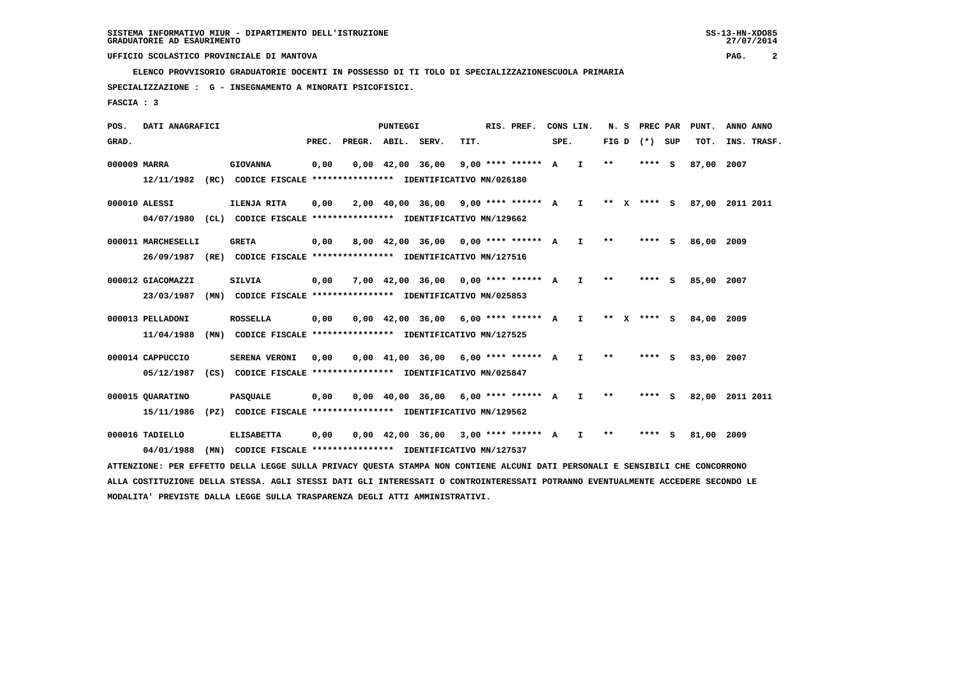**ELENCO PROVVISORIO GRADUATORIE DOCENTI IN POSSESSO DI TI TOLO DI SPECIALIZZAZIONESCUOLA PRIMARIA**

 **SPECIALIZZAZIONE : G - INSEGNAMENTO A MINORATI PSICOFISICI.**

 **FASCIA : 3**

 **POS. DATI ANAGRAFICI PUNTEGGI RIS. PREF. CONS LIN. N. S PREC PAR PUNT. ANNO ANNO**GRAD. **PREGRADE SERVEGE SERVE SERVE SPEREGE SPEREGALES SPEREGALES SPEREGALES SPEREGALES SPEREGALES SUP TOT. INS. TRASF. 000009 MARRA GIOVANNA 0,00 0,00 42,00 36,00 9,00 \*\*\*\* \*\*\*\*\*\* A I \*\* \*\*\*\* S 87,00 2007 12/11/1982 (RC) CODICE FISCALE \*\*\*\*\*\*\*\*\*\*\*\*\*\*\*\* IDENTIFICATIVO MN/026180 000010 ALESSI ILENJA RITA 0,00 2,00 40,00 36,00 9,00 \*\*\*\* \*\*\*\*\*\* A I \*\* X \*\*\*\* S 87,00 2011 2011 04/07/1980 (CL) CODICE FISCALE \*\*\*\*\*\*\*\*\*\*\*\*\*\*\*\* IDENTIFICATIVO MN/129662 000011 MARCHESELLI GRETA 0,00 8,00 42,00 36,00 0,00 \*\*\*\* \*\*\*\*\*\* A I \*\* \*\*\*\* S 86,00 2009 26/09/1987 (RE) CODICE FISCALE \*\*\*\*\*\*\*\*\*\*\*\*\*\*\*\* IDENTIFICATIVO MN/127516 000012 GIACOMAZZI SILVIA 0,00 7,00 42,00 36,00 0,00 \*\*\*\* \*\*\*\*\*\* A I \*\* \*\*\*\* S 85,00 2007 23/03/1987 (MN) CODICE FISCALE \*\*\*\*\*\*\*\*\*\*\*\*\*\*\*\* IDENTIFICATIVO MN/025853 000013 PELLADONI ROSSELLA 0,00 0,00 42,00 36,00 6,00 \*\*\*\* \*\*\*\*\*\* A I \*\* X \*\*\*\* S 84,00 2009 11/04/1988 (MN) CODICE FISCALE \*\*\*\*\*\*\*\*\*\*\*\*\*\*\*\* IDENTIFICATIVO MN/127525 000014 CAPPUCCIO SERENA VERONI 0,00 0,00 41,00 36,00 6,00 \*\*\*\* \*\*\*\*\*\* A I \*\* \*\*\*\* S 83,00 2007 05/12/1987 (CS) CODICE FISCALE \*\*\*\*\*\*\*\*\*\*\*\*\*\*\*\* IDENTIFICATIVO MN/025847 000015 QUARATINO PASQUALE 0,00 0,00 40,00 36,00 6,00 \*\*\*\* \*\*\*\*\*\* A I \*\* \*\*\*\* S 82,00 2011 2011 15/11/1986 (PZ) CODICE FISCALE \*\*\*\*\*\*\*\*\*\*\*\*\*\*\*\* IDENTIFICATIVO MN/129562 000016 TADIELLO ELISABETTA 0,00 0,00 42,00 36,00 3,00 \*\*\*\* \*\*\*\*\*\* A I \*\* \*\*\*\* S 81,00 2009**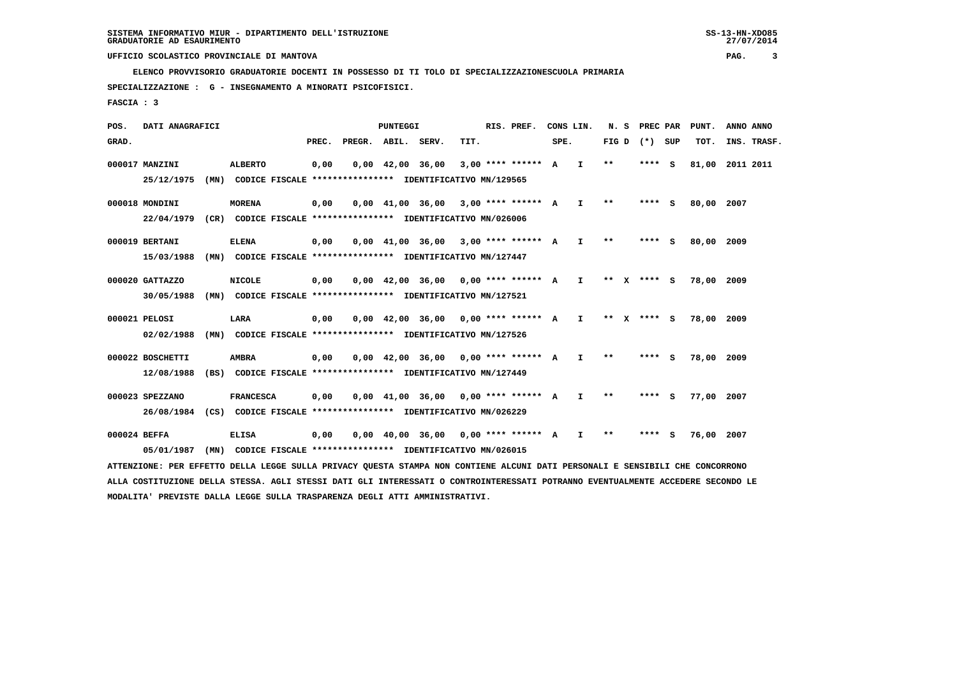**ELENCO PROVVISORIO GRADUATORIE DOCENTI IN POSSESSO DI TI TOLO DI SPECIALIZZAZIONESCUOLA PRIMARIA**

 **SPECIALIZZAZIONE : G - INSEGNAMENTO A MINORATI PSICOFISICI.**

 **FASCIA : 3**

 **POS. DATI ANAGRAFICI PUNTEGGI RIS. PREF. CONS LIN. N. S PREC PAR PUNT. ANNO ANNO**GRAD. **PREGRADE SERVEGE SERVE SERVE SPEREGE SPEREGALES SPEREGALES SPEREGALES SPEREGALES SPEREGALES SUP TOT. INS. TRASF. 000017 MANZINI ALBERTO 0,00 0,00 42,00 36,00 3,00 \*\*\*\* \*\*\*\*\*\* A I \*\* \*\*\*\* S 81,00 2011 2011 25/12/1975 (MN) CODICE FISCALE \*\*\*\*\*\*\*\*\*\*\*\*\*\*\*\* IDENTIFICATIVO MN/129565 000018 MONDINI MORENA 0,00 0,00 41,00 36,00 3,00 \*\*\*\* \*\*\*\*\*\* A I \*\* \*\*\*\* S 80,00 2007 22/04/1979 (CR) CODICE FISCALE \*\*\*\*\*\*\*\*\*\*\*\*\*\*\*\* IDENTIFICATIVO MN/026006 000019 BERTANI ELENA 0,00 0,00 41,00 36,00 3,00 \*\*\*\* \*\*\*\*\*\* A I \*\* \*\*\*\* S 80,00 2009 15/03/1988 (MN) CODICE FISCALE \*\*\*\*\*\*\*\*\*\*\*\*\*\*\*\* IDENTIFICATIVO MN/127447 000020 GATTAZZO NICOLE 0,00 0,00 42,00 36,00 0,00 \*\*\*\* \*\*\*\*\*\* A I \*\* X \*\*\*\* S 78,00 2009 30/05/1988 (MN) CODICE FISCALE \*\*\*\*\*\*\*\*\*\*\*\*\*\*\*\* IDENTIFICATIVO MN/127521 000021 PELOSI LARA 0,00 0,00 42,00 36,00 0,00 \*\*\*\* \*\*\*\*\*\* A I \*\* X \*\*\*\* S 78,00 2009 02/02/1988 (MN) CODICE FISCALE \*\*\*\*\*\*\*\*\*\*\*\*\*\*\*\* IDENTIFICATIVO MN/127526 000022 BOSCHETTI AMBRA 0,00 0,00 42,00 36,00 0,00 \*\*\*\* \*\*\*\*\*\* A I \*\* \*\*\*\* S 78,00 2009 12/08/1988 (BS) CODICE FISCALE \*\*\*\*\*\*\*\*\*\*\*\*\*\*\*\* IDENTIFICATIVO MN/127449 000023 SPEZZANO FRANCESCA 0,00 0,00 41,00 36,00 0,00 \*\*\*\* \*\*\*\*\*\* A I \*\* \*\*\*\* S 77,00 2007 26/08/1984 (CS) CODICE FISCALE \*\*\*\*\*\*\*\*\*\*\*\*\*\*\*\* IDENTIFICATIVO MN/026229 000024 BEFFA ELISA 0,00 0,00 40,00 36,00 0,00 \*\*\*\* \*\*\*\*\*\* A I \*\* \*\*\*\* S 76,00 2007 05/01/1987 (MN) CODICE FISCALE \*\*\*\*\*\*\*\*\*\*\*\*\*\*\*\* IDENTIFICATIVO MN/026015**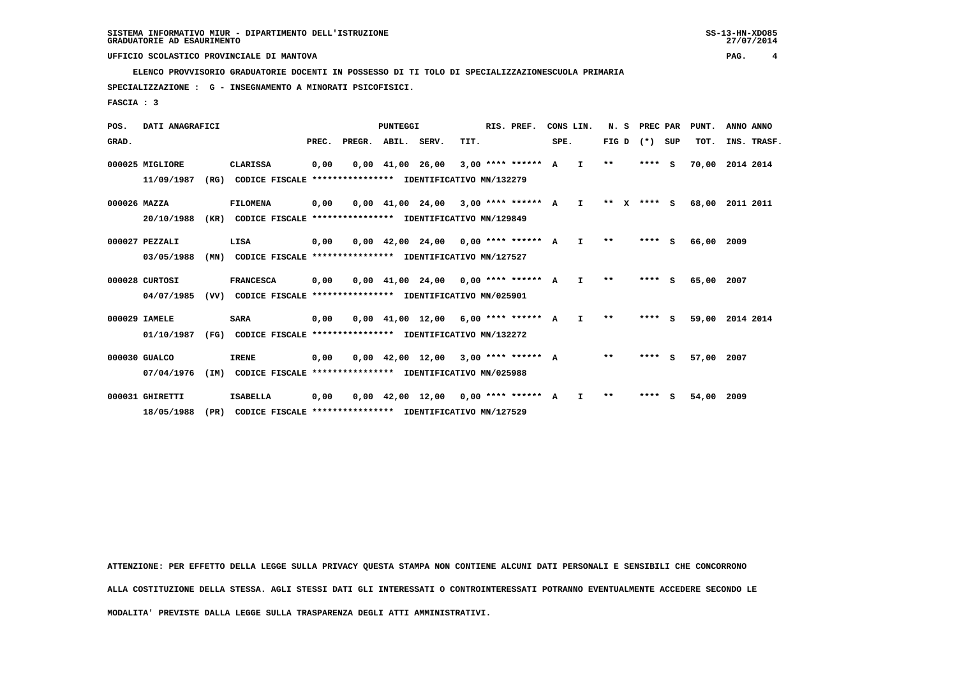**ELENCO PROVVISORIO GRADUATORIE DOCENTI IN POSSESSO DI TI TOLO DI SPECIALIZZAZIONESCUOLA PRIMARIA**

 **18/05/1988 (PR) CODICE FISCALE \*\*\*\*\*\*\*\*\*\*\*\*\*\*\*\* IDENTIFICATIVO MN/127529**

 **SPECIALIZZAZIONE : G - INSEGNAMENTO A MINORATI PSICOFISICI.**

 **FASCIA : 3**

| POS.         | DATI ANAGRAFICI |      |                                                          |       |                    | PUNTEGGI                       |                                                                       |      | RIS. PREF.           |      | CONS LIN.    | N.S     | PREC PAR |     | PUNT. | ANNO ANNO   |  |
|--------------|-----------------|------|----------------------------------------------------------|-------|--------------------|--------------------------------|-----------------------------------------------------------------------|------|----------------------|------|--------------|---------|----------|-----|-------|-------------|--|
| GRAD.        |                 |      |                                                          | PREC. | PREGR. ABIL. SERV. |                                |                                                                       | TIT. |                      | SPE. |              | FIG D   | $(* )$   | SUP | TOT.  | INS. TRASF. |  |
|              | 000025 MIGLIORE |      | <b>CLARISSA</b>                                          | 0,00  |                    | $0.00 \quad 41.00 \quad 26.00$ |                                                                       |      | $3,00$ **** ****** A |      | I.           | $* *$   | ****     | - S | 70,00 | 2014 2014   |  |
|              | 11/09/1987      | (RG) | CODICE FISCALE **************** IDENTIFICATIVO MN/132279 |       |                    |                                |                                                                       |      |                      |      |              |         |          |     |       |             |  |
| 000026 MAZZA |                 |      | <b>FILOMENA</b>                                          | 0,00  |                    |                                | 0,00 41,00 24,00                                                      |      | $3.00$ **** ****** A |      | $\mathbf{I}$ | $***$ X | $***$ S  |     | 68,00 | 2011 2011   |  |
|              | 20/10/1988      | (KR) | CODICE FISCALE **************** IDENTIFICATIVO MN/129849 |       |                    |                                |                                                                       |      |                      |      |              |         |          |     |       |             |  |
|              | 000027 PEZZALI  |      | LISA                                                     | 0,00  |                    |                                | $0.00 \quad 42.00 \quad 24.00 \quad 0.00 \quad *** \quad *** \quad A$ |      |                      |      | $\mathbf{I}$ | $**$    | ****     | -S  | 66,00 | 2009        |  |
|              | 03/05/1988      | (MN) | CODICE FISCALE **************** IDENTIFICATIVO MN/127527 |       |                    |                                |                                                                       |      |                      |      |              |         |          |     |       |             |  |
|              | 000028 CURTOSI  |      | <b>FRANCESCA</b>                                         | 0,00  |                    |                                | $0.00 \quad 41.00 \quad 24.00 \quad 0.00$ **** ****** A               |      |                      |      | I.           | **      | ****     | s   | 65,00 | 2007        |  |
|              | 04/07/1985      | (VV) | CODICE FISCALE **************** IDENTIFICATIVO MN/025901 |       |                    |                                |                                                                       |      |                      |      |              |         |          |     |       |             |  |
|              | 000029 IAMELE   |      | <b>SARA</b>                                              | 0,00  |                    |                                | $0.00$ 41.00 12.00 6.00 **** ****** A                                 |      |                      |      | I.           | $* *$   | ****     | - 5 | 59,00 | 2014 2014   |  |
|              | 01/10/1987      | (FG) | CODICE FISCALE **************** IDENTIFICATIVO MN/132272 |       |                    |                                |                                                                       |      |                      |      |              |         |          |     |       |             |  |
|              | 000030 GUALCO   |      | <b>IRENE</b>                                             | 0,00  |                    | $0,00 \quad 42,00 \quad 12,00$ |                                                                       |      | $3.00$ **** ****** A |      |              | $* *$   | ****     | - S | 57,00 | 2007        |  |
|              | 07/04/1976      | (IM) | CODICE FISCALE **************** IDENTIFICATIVO MN/025988 |       |                    |                                |                                                                       |      |                      |      |              |         |          |     |       |             |  |
|              | 000031 GHIRETTI |      | <b>ISABELLA</b>                                          | 0,00  |                    | $0,00 \quad 42,00 \quad 12,00$ |                                                                       |      | 0,00 **** ****** A   |      | T            | $* *$   | ****     | -S  | 54,00 | 2009        |  |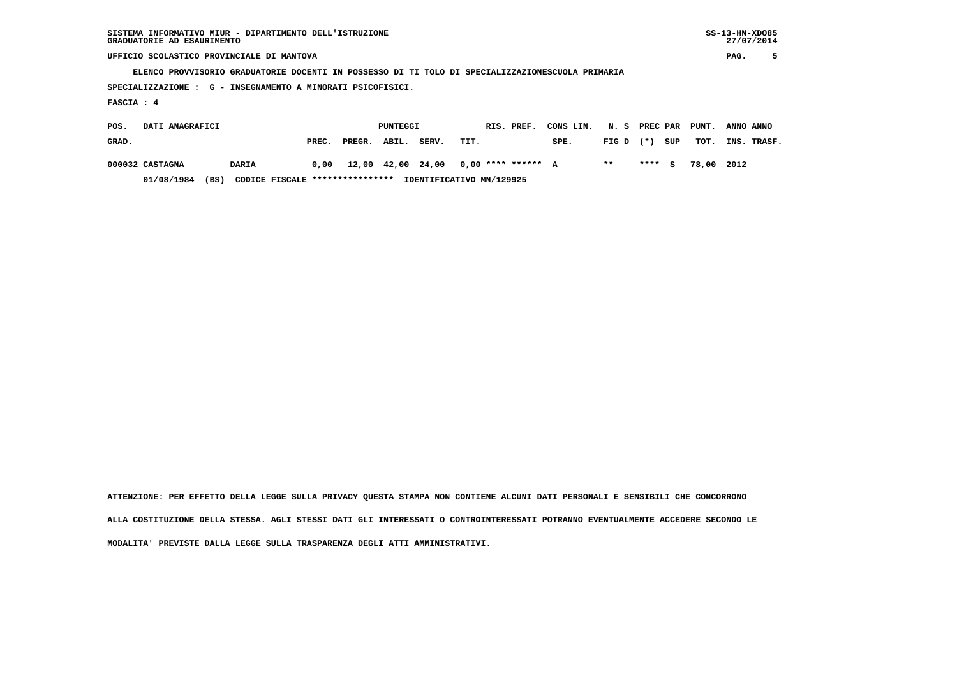| SISTEMA INFORMATIVO MIUR - DIPARTIMENTO DELL'ISTRUZIONE<br>GRADUATORIE AD ESAURIMENTO                         |  |  |          |  |  |            |           |      |          |       | $SS-13-HN-XDO85$<br>27/07/2014 |   |  |  |
|---------------------------------------------------------------------------------------------------------------|--|--|----------|--|--|------------|-----------|------|----------|-------|--------------------------------|---|--|--|
| UFFICIO SCOLASTICO PROVINCIALE DI MANTOVA                                                                     |  |  |          |  |  |            |           |      |          |       | PAG.                           | 5 |  |  |
| ELENCO PROVVISORIO GRADUATORIE DOCENTI IN POSSESSO DI TI TOLO DI SPECIALIZZAZIONESCUOLA PRIMARIA              |  |  |          |  |  |            |           |      |          |       |                                |   |  |  |
| SPECIALIZZAZIONE : G - INSEGNAMENTO A MINORATI PSICOFISICI.                                                   |  |  |          |  |  |            |           |      |          |       |                                |   |  |  |
| FASCIA : 4                                                                                                    |  |  |          |  |  |            |           |      |          |       |                                |   |  |  |
| DATI ANAGRAFICI<br>POS.                                                                                       |  |  | PUNTEGGI |  |  | RIS. PREF. | CONS LIN. | N. S | PREC PAR | PUNT. | ANNO ANNO                      |   |  |  |
| SUP<br>GRAD.<br>ABIL.<br>PREC.<br>PREGR.<br>SERV.<br>TIT.<br>SPE.<br>TOT.<br>INS.<br>FIG D<br>$(*)$<br>TRASF. |  |  |          |  |  |            |           |      |          |       |                                |   |  |  |

 **000032 CASTAGNA DARIA 0,00 12,00 42,00 24,00 0,00 \*\*\*\* \*\*\*\*\*\* A \*\* \*\*\*\* S 78,00 2012**

 **01/08/1984 (BS) CODICE FISCALE \*\*\*\*\*\*\*\*\*\*\*\*\*\*\*\* IDENTIFICATIVO MN/129925**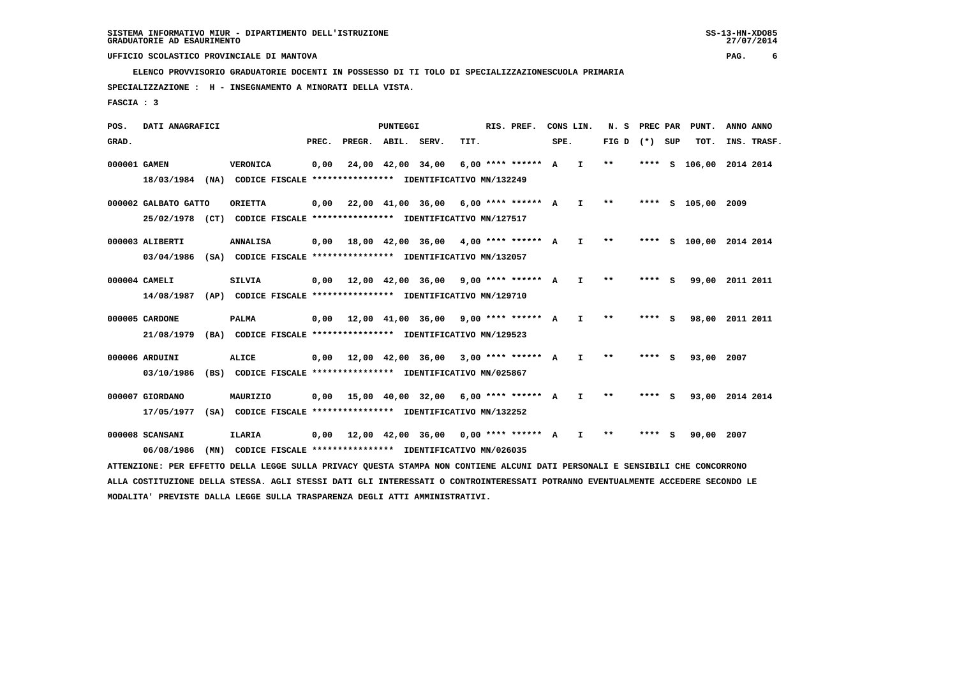**ELENCO PROVVISORIO GRADUATORIE DOCENTI IN POSSESSO DI TI TOLO DI SPECIALIZZAZIONESCUOLA PRIMARIA**

 **SPECIALIZZAZIONE : H - INSEGNAMENTO A MINORATI DELLA VISTA.**

 **FASCIA : 3**

 **POS. DATI ANAGRAFICI PUNTEGGI RIS. PREF. CONS LIN. N. S PREC PAR PUNT. ANNO ANNO**GRAD. **PREGRADE SERVEGE SERVE SERVE SPEREGE SPEREGALES SPEREGALES SPEREGALES SPEREGALES SPEREGALES SUP TOT. INS. TRASF. 000001 GAMEN VERONICA 0,00 24,00 42,00 34,00 6,00 \*\*\*\* \*\*\*\*\*\* A I \*\* \*\*\*\* S 106,00 2014 2014 18/03/1984 (NA) CODICE FISCALE \*\*\*\*\*\*\*\*\*\*\*\*\*\*\*\* IDENTIFICATIVO MN/132249 000002 GALBATO GATTO ORIETTA 0,00 22,00 41,00 36,00 6,00 \*\*\*\* \*\*\*\*\*\* A I \*\* \*\*\*\* S 105,00 2009 25/02/1978 (CT) CODICE FISCALE \*\*\*\*\*\*\*\*\*\*\*\*\*\*\*\* IDENTIFICATIVO MN/127517 000003 ALIBERTI ANNALISA 0,00 18,00 42,00 36,00 4,00 \*\*\*\* \*\*\*\*\*\* A I \*\* \*\*\*\* S 100,00 2014 2014 03/04/1986 (SA) CODICE FISCALE \*\*\*\*\*\*\*\*\*\*\*\*\*\*\*\* IDENTIFICATIVO MN/132057 000004 CAMELI SILVIA 0,00 12,00 42,00 36,00 9,00 \*\*\*\* \*\*\*\*\*\* A I \*\* \*\*\*\* S 99,00 2011 2011 14/08/1987 (AP) CODICE FISCALE \*\*\*\*\*\*\*\*\*\*\*\*\*\*\*\* IDENTIFICATIVO MN/129710 000005 CARDONE PALMA 0,00 12,00 41,00 36,00 9,00 \*\*\*\* \*\*\*\*\*\* A I \*\* \*\*\*\* S 98,00 2011 2011 21/08/1979 (BA) CODICE FISCALE \*\*\*\*\*\*\*\*\*\*\*\*\*\*\*\* IDENTIFICATIVO MN/129523 000006 ARDUINI ALICE 0,00 12,00 42,00 36,00 3,00 \*\*\*\* \*\*\*\*\*\* A I \*\* \*\*\*\* S 93,00 2007 03/10/1986 (BS) CODICE FISCALE \*\*\*\*\*\*\*\*\*\*\*\*\*\*\*\* IDENTIFICATIVO MN/025867 000007 GIORDANO MAURIZIO 0,00 15,00 40,00 32,00 6,00 \*\*\*\* \*\*\*\*\*\* A I \*\* \*\*\*\* S 93,00 2014 2014 17/05/1977 (SA) CODICE FISCALE \*\*\*\*\*\*\*\*\*\*\*\*\*\*\*\* IDENTIFICATIVO MN/132252 000008 SCANSANI ILARIA 0,00 12,00 42,00 36,00 0,00 \*\*\*\* \*\*\*\*\*\* A I \*\* \*\*\*\* S 90,00 2007 06/08/1986 (MN) CODICE FISCALE \*\*\*\*\*\*\*\*\*\*\*\*\*\*\*\* IDENTIFICATIVO MN/026035**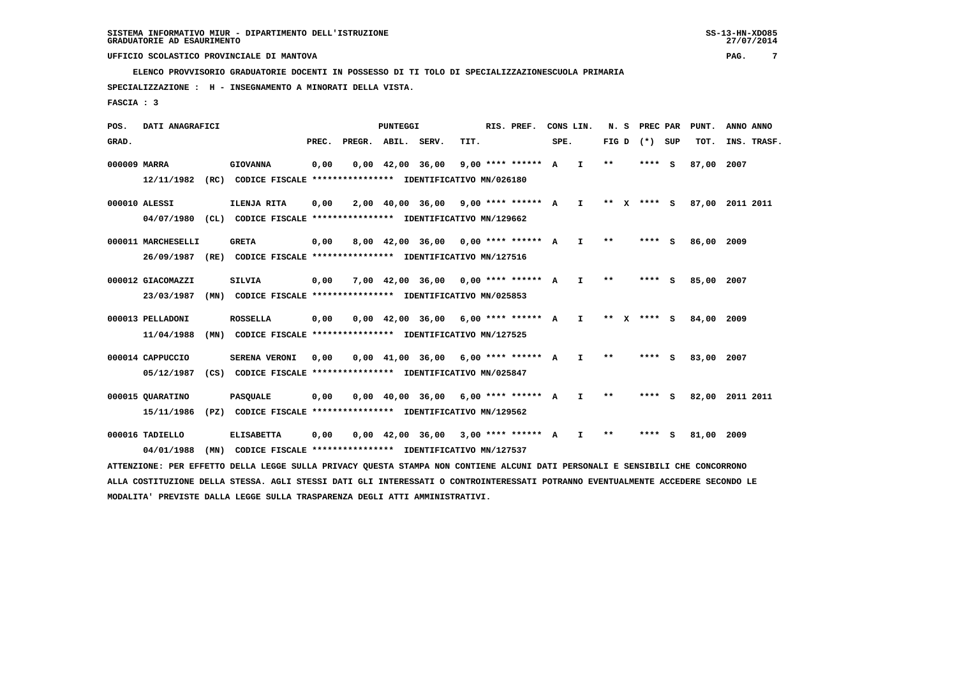**ELENCO PROVVISORIO GRADUATORIE DOCENTI IN POSSESSO DI TI TOLO DI SPECIALIZZAZIONESCUOLA PRIMARIA**

 **SPECIALIZZAZIONE : H - INSEGNAMENTO A MINORATI DELLA VISTA.**

 **FASCIA : 3**

 **POS. DATI ANAGRAFICI PUNTEGGI RIS. PREF. CONS LIN. N. S PREC PAR PUNT. ANNO ANNO**GRAD. **PREGRADE SERVEGE SERVE SERVE SPEREGE SPEREGALES SPEREGALES SPEREGALES SPEREGALES SPEREGALES SUP TOT. INS. TRASF. 000009 MARRA GIOVANNA 0,00 0,00 42,00 36,00 9,00 \*\*\*\* \*\*\*\*\*\* A I \*\* \*\*\*\* S 87,00 2007 12/11/1982 (RC) CODICE FISCALE \*\*\*\*\*\*\*\*\*\*\*\*\*\*\*\* IDENTIFICATIVO MN/026180 000010 ALESSI ILENJA RITA 0,00 2,00 40,00 36,00 9,00 \*\*\*\* \*\*\*\*\*\* A I \*\* X \*\*\*\* S 87,00 2011 2011 04/07/1980 (CL) CODICE FISCALE \*\*\*\*\*\*\*\*\*\*\*\*\*\*\*\* IDENTIFICATIVO MN/129662 000011 MARCHESELLI GRETA 0,00 8,00 42,00 36,00 0,00 \*\*\*\* \*\*\*\*\*\* A I \*\* \*\*\*\* S 86,00 2009 26/09/1987 (RE) CODICE FISCALE \*\*\*\*\*\*\*\*\*\*\*\*\*\*\*\* IDENTIFICATIVO MN/127516 000012 GIACOMAZZI SILVIA 0,00 7,00 42,00 36,00 0,00 \*\*\*\* \*\*\*\*\*\* A I \*\* \*\*\*\* S 85,00 2007 23/03/1987 (MN) CODICE FISCALE \*\*\*\*\*\*\*\*\*\*\*\*\*\*\*\* IDENTIFICATIVO MN/025853 000013 PELLADONI ROSSELLA 0,00 0,00 42,00 36,00 6,00 \*\*\*\* \*\*\*\*\*\* A I \*\* X \*\*\*\* S 84,00 2009 11/04/1988 (MN) CODICE FISCALE \*\*\*\*\*\*\*\*\*\*\*\*\*\*\*\* IDENTIFICATIVO MN/127525 000014 CAPPUCCIO SERENA VERONI 0,00 0,00 41,00 36,00 6,00 \*\*\*\* \*\*\*\*\*\* A I \*\* \*\*\*\* S 83,00 2007 05/12/1987 (CS) CODICE FISCALE \*\*\*\*\*\*\*\*\*\*\*\*\*\*\*\* IDENTIFICATIVO MN/025847 000015 QUARATINO PASQUALE 0,00 0,00 40,00 36,00 6,00 \*\*\*\* \*\*\*\*\*\* A I \*\* \*\*\*\* S 82,00 2011 2011 15/11/1986 (PZ) CODICE FISCALE \*\*\*\*\*\*\*\*\*\*\*\*\*\*\*\* IDENTIFICATIVO MN/129562 000016 TADIELLO ELISABETTA 0,00 0,00 42,00 36,00 3,00 \*\*\*\* \*\*\*\*\*\* A I \*\* \*\*\*\* S 81,00 2009**

 **04/01/1988 (MN) CODICE FISCALE \*\*\*\*\*\*\*\*\*\*\*\*\*\*\*\* IDENTIFICATIVO MN/127537 ATTENZIONE: PER EFFETTO DELLA LEGGE SULLA PRIVACY QUESTA STAMPA NON CONTIENE ALCUNI DATI PERSONALI E SENSIBILI CHE CONCORRONO ALLA COSTITUZIONE DELLA STESSA. AGLI STESSI DATI GLI INTERESSATI O CONTROINTERESSATI POTRANNO EVENTUALMENTE ACCEDERE SECONDO LE**

 **MODALITA' PREVISTE DALLA LEGGE SULLA TRASPARENZA DEGLI ATTI AMMINISTRATIVI.**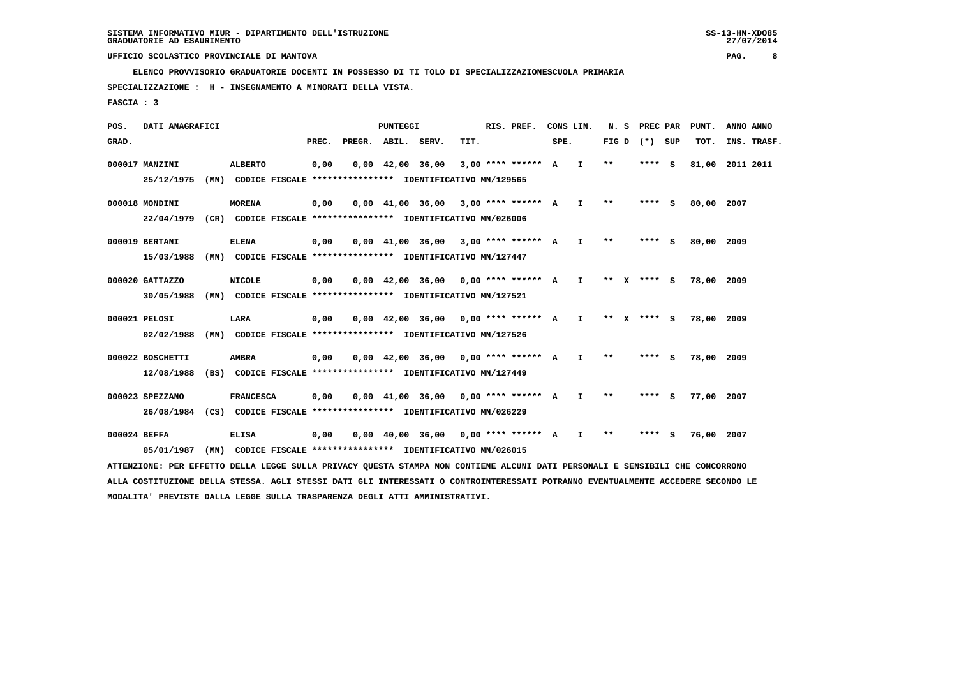**ELENCO PROVVISORIO GRADUATORIE DOCENTI IN POSSESSO DI TI TOLO DI SPECIALIZZAZIONESCUOLA PRIMARIA**

 **SPECIALIZZAZIONE : H - INSEGNAMENTO A MINORATI DELLA VISTA.**

 **FASCIA : 3**

 **POS. DATI ANAGRAFICI PUNTEGGI RIS. PREF. CONS LIN. N. S PREC PAR PUNT. ANNO ANNO**GRAD. **PREGRADE SERVEGE SERVE SERVE SPEREGE SPEREGALES SPEREGALES SPEREGALES SPEREGALES SPEREGALES SUP TOT. INS. TRASF. 000017 MANZINI ALBERTO 0,00 0,00 42,00 36,00 3,00 \*\*\*\* \*\*\*\*\*\* A I \*\* \*\*\*\* S 81,00 2011 2011 25/12/1975 (MN) CODICE FISCALE \*\*\*\*\*\*\*\*\*\*\*\*\*\*\*\* IDENTIFICATIVO MN/129565 000018 MONDINI MORENA 0,00 0,00 41,00 36,00 3,00 \*\*\*\* \*\*\*\*\*\* A I \*\* \*\*\*\* S 80,00 2007 22/04/1979 (CR) CODICE FISCALE \*\*\*\*\*\*\*\*\*\*\*\*\*\*\*\* IDENTIFICATIVO MN/026006 000019 BERTANI ELENA 0,00 0,00 41,00 36,00 3,00 \*\*\*\* \*\*\*\*\*\* A I \*\* \*\*\*\* S 80,00 2009 15/03/1988 (MN) CODICE FISCALE \*\*\*\*\*\*\*\*\*\*\*\*\*\*\*\* IDENTIFICATIVO MN/127447 000020 GATTAZZO NICOLE 0,00 0,00 42,00 36,00 0,00 \*\*\*\* \*\*\*\*\*\* A I \*\* X \*\*\*\* S 78,00 2009 30/05/1988 (MN) CODICE FISCALE \*\*\*\*\*\*\*\*\*\*\*\*\*\*\*\* IDENTIFICATIVO MN/127521 000021 PELOSI LARA 0,00 0,00 42,00 36,00 0,00 \*\*\*\* \*\*\*\*\*\* A I \*\* X \*\*\*\* S 78,00 2009 02/02/1988 (MN) CODICE FISCALE \*\*\*\*\*\*\*\*\*\*\*\*\*\*\*\* IDENTIFICATIVO MN/127526 000022 BOSCHETTI AMBRA 0,00 0,00 42,00 36,00 0,00 \*\*\*\* \*\*\*\*\*\* A I \*\* \*\*\*\* S 78,00 2009 12/08/1988 (BS) CODICE FISCALE \*\*\*\*\*\*\*\*\*\*\*\*\*\*\*\* IDENTIFICATIVO MN/127449 000023 SPEZZANO FRANCESCA 0,00 0,00 41,00 36,00 0,00 \*\*\*\* \*\*\*\*\*\* A I \*\* \*\*\*\* S 77,00 2007 26/08/1984 (CS) CODICE FISCALE \*\*\*\*\*\*\*\*\*\*\*\*\*\*\*\* IDENTIFICATIVO MN/026229 000024 BEFFA ELISA 0,00 0,00 40,00 36,00 0,00 \*\*\*\* \*\*\*\*\*\* A I \*\* \*\*\*\* S 76,00 2007 05/01/1987 (MN) CODICE FISCALE \*\*\*\*\*\*\*\*\*\*\*\*\*\*\*\* IDENTIFICATIVO MN/026015**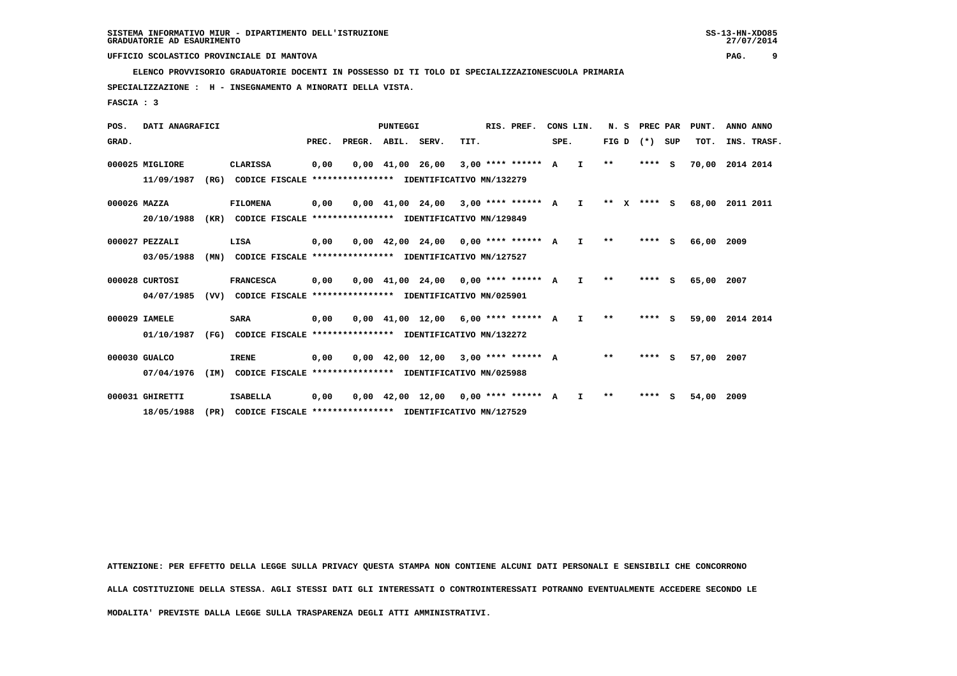**ELENCO PROVVISORIO GRADUATORIE DOCENTI IN POSSESSO DI TI TOLO DI SPECIALIZZAZIONESCUOLA PRIMARIA**

 **18/05/1988 (PR) CODICE FISCALE \*\*\*\*\*\*\*\*\*\*\*\*\*\*\*\* IDENTIFICATIVO MN/127529**

 **SPECIALIZZAZIONE : H - INSEGNAMENTO A MINORATI DELLA VISTA.**

 **FASCIA : 3**

| POS.         | DATI ANAGRAFICI |      |                                                          |       |                    | PUNTEGGI                       |                                                                       |      | RIS. PREF.           |      | CONS LIN.    | N.S     | PREC PAR |     | PUNT. | ANNO ANNO   |  |
|--------------|-----------------|------|----------------------------------------------------------|-------|--------------------|--------------------------------|-----------------------------------------------------------------------|------|----------------------|------|--------------|---------|----------|-----|-------|-------------|--|
| GRAD.        |                 |      |                                                          | PREC. | PREGR. ABIL. SERV. |                                |                                                                       | TIT. |                      | SPE. |              | FIG D   | $(* )$   | SUP | TOT.  | INS. TRASF. |  |
|              | 000025 MIGLIORE |      | <b>CLARISSA</b>                                          | 0,00  |                    | $0.00 \quad 41.00 \quad 26.00$ |                                                                       |      | $3,00$ **** ****** A |      | I.           | $* *$   | ****     | - S | 70,00 | 2014 2014   |  |
|              | 11/09/1987      | (RG) | CODICE FISCALE **************** IDENTIFICATIVO MN/132279 |       |                    |                                |                                                                       |      |                      |      |              |         |          |     |       |             |  |
| 000026 MAZZA |                 |      | <b>FILOMENA</b>                                          | 0,00  |                    |                                | 0,00 41,00 24,00                                                      |      | $3.00$ **** ****** A |      | $\mathbf{I}$ | $***$ X | $***$ S  |     | 68,00 | 2011 2011   |  |
|              | 20/10/1988      | (KR) | CODICE FISCALE **************** IDENTIFICATIVO MN/129849 |       |                    |                                |                                                                       |      |                      |      |              |         |          |     |       |             |  |
|              | 000027 PEZZALI  |      | LISA                                                     | 0,00  |                    |                                | $0.00 \quad 42.00 \quad 24.00 \quad 0.00 \quad *** \quad *** \quad A$ |      |                      |      | $\mathbf{I}$ | $**$    | ****     | -S  | 66,00 | 2009        |  |
|              | 03/05/1988      | (MN) | CODICE FISCALE **************** IDENTIFICATIVO MN/127527 |       |                    |                                |                                                                       |      |                      |      |              |         |          |     |       |             |  |
|              | 000028 CURTOSI  |      | <b>FRANCESCA</b>                                         | 0,00  |                    |                                | $0.00 \quad 41.00 \quad 24.00 \quad 0.00$ **** ****** A               |      |                      |      | I.           | **      | ****     | s   | 65,00 | 2007        |  |
|              | 04/07/1985      | (VV) | CODICE FISCALE **************** IDENTIFICATIVO MN/025901 |       |                    |                                |                                                                       |      |                      |      |              |         |          |     |       |             |  |
|              | 000029 IAMELE   |      | <b>SARA</b>                                              | 0,00  |                    |                                | $0.00$ 41.00 12.00 6.00 **** ****** A                                 |      |                      |      | I.           | $* *$   | ****     | - 5 | 59,00 | 2014 2014   |  |
|              | 01/10/1987      | (FG) | CODICE FISCALE **************** IDENTIFICATIVO MN/132272 |       |                    |                                |                                                                       |      |                      |      |              |         |          |     |       |             |  |
|              | 000030 GUALCO   |      | <b>IRENE</b>                                             | 0,00  |                    | $0,00 \quad 42,00 \quad 12,00$ |                                                                       |      | $3.00$ **** ****** A |      |              | $* *$   | ****     | - S | 57,00 | 2007        |  |
|              | 07/04/1976      | (IM) | CODICE FISCALE **************** IDENTIFICATIVO MN/025988 |       |                    |                                |                                                                       |      |                      |      |              |         |          |     |       |             |  |
|              | 000031 GHIRETTI |      | <b>ISABELLA</b>                                          | 0,00  |                    | $0,00 \quad 42,00 \quad 12,00$ |                                                                       |      | 0,00 **** ****** A   |      | T            | $* *$   | ****     | -S  | 54,00 | 2009        |  |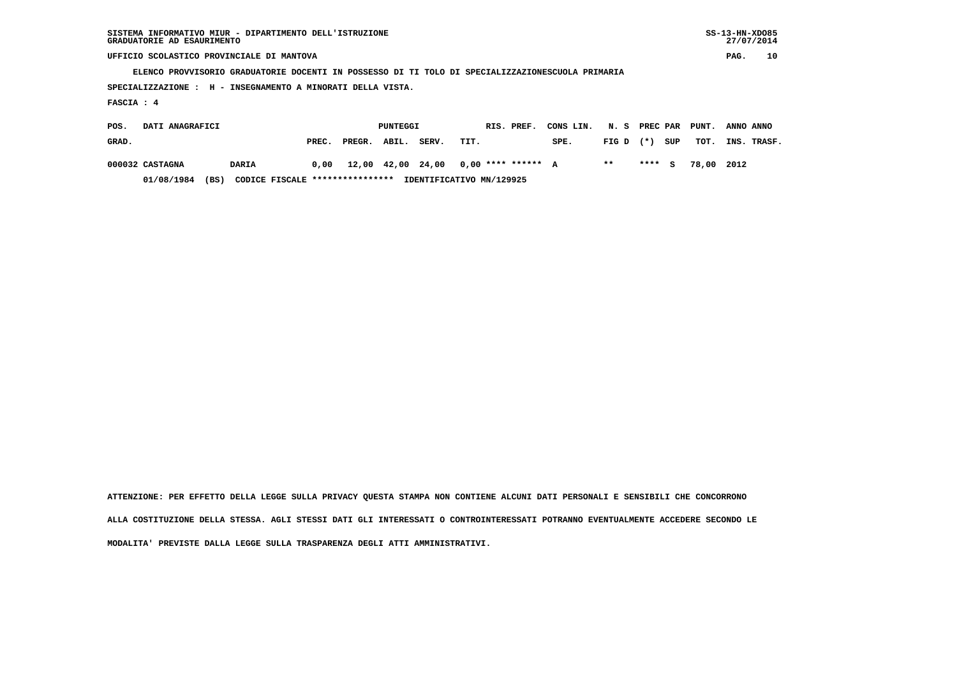|                                                                                                  | $SS-13-HN-XDO85$<br>SISTEMA INFORMATIVO MIUR - DIPARTIMENTO DELL'ISTRUZIONE<br>27/07/2014<br>GRADUATORIE AD ESAURIMENTO |       |        |                   |       |      |  |                      |           |       |               |     |       |             |    |
|--------------------------------------------------------------------------------------------------|-------------------------------------------------------------------------------------------------------------------------|-------|--------|-------------------|-------|------|--|----------------------|-----------|-------|---------------|-----|-------|-------------|----|
| UFFICIO SCOLASTICO PROVINCIALE DI MANTOVA                                                        |                                                                                                                         |       |        |                   |       |      |  |                      |           |       |               |     |       | PAG.        | 10 |
| ELENCO PROVVISORIO GRADUATORIE DOCENTI IN POSSESSO DI TI TOLO DI SPECIALIZZAZIONESCUOLA PRIMARIA |                                                                                                                         |       |        |                   |       |      |  |                      |           |       |               |     |       |             |    |
| SPECIALIZZAZIONE : H - INSEGNAMENTO A MINORATI DELLA VISTA.                                      |                                                                                                                         |       |        |                   |       |      |  |                      |           |       |               |     |       |             |    |
| FASCIA: 4                                                                                        |                                                                                                                         |       |        |                   |       |      |  |                      |           |       |               |     |       |             |    |
| DATI ANAGRAFICI<br>POS.                                                                          |                                                                                                                         |       |        | PUNTEGGI          |       |      |  | RIS. PREF.           | CONS LIN. |       | N. S PREC PAR |     | PUNT. | ANNO ANNO   |    |
| GRAD.                                                                                            |                                                                                                                         | PREC. | PREGR. | ABIL.             | SERV. | TIT. |  |                      | SPE.      | FIG D | $(* )$        | SUP | тот.  | INS. TRASF. |    |
| 000032 CASTAGNA                                                                                  | <b>DARIA</b>                                                                                                            | 0.00  |        | 12,00 42,00 24,00 |       |      |  | $0.00$ **** ****** A |           | $* *$ | **** S        |     | 78,00 | 2012        |    |

 **01/08/1984 (BS) CODICE FISCALE \*\*\*\*\*\*\*\*\*\*\*\*\*\*\*\* IDENTIFICATIVO MN/129925**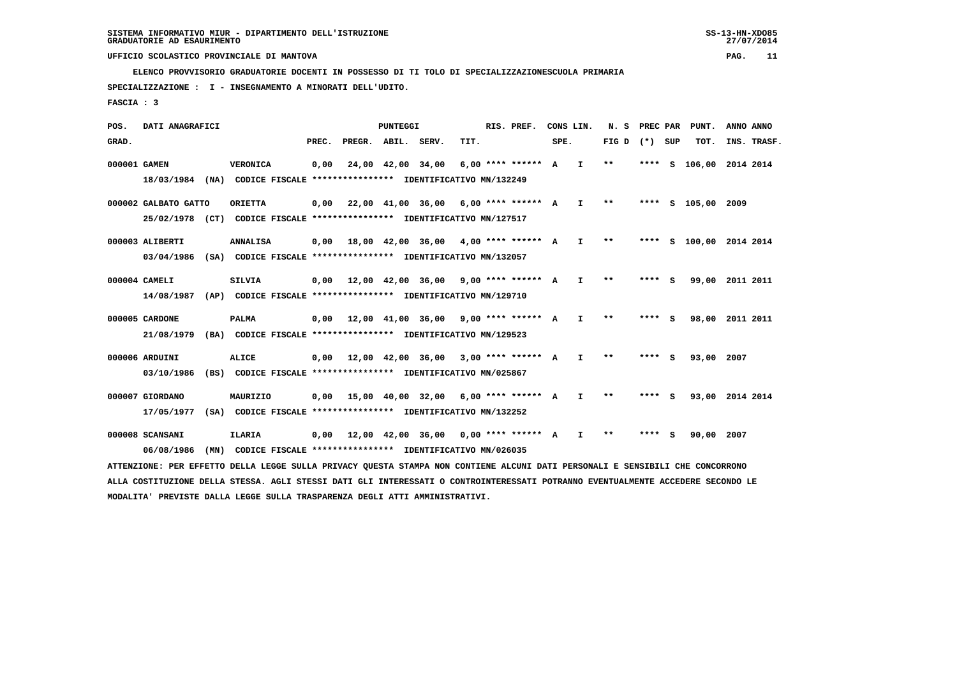**ELENCO PROVVISORIO GRADUATORIE DOCENTI IN POSSESSO DI TI TOLO DI SPECIALIZZAZIONESCUOLA PRIMARIA**

 **SPECIALIZZAZIONE : I - INSEGNAMENTO A MINORATI DELL'UDITO.**

 **FASCIA : 3**

 **POS. DATI ANAGRAFICI PUNTEGGI RIS. PREF. CONS LIN. N. S PREC PAR PUNT. ANNO ANNO**GRAD. **PREGRADE SERVEGE SERVE SERVE SPEREGE SPEREGALES SPEREGALES SPEREGALES SPEREGALES SPEREGALES SUP TOT. INS. TRASF. 000001 GAMEN VERONICA 0,00 24,00 42,00 34,00 6,00 \*\*\*\* \*\*\*\*\*\* A I \*\* \*\*\*\* S 106,00 2014 2014 18/03/1984 (NA) CODICE FISCALE \*\*\*\*\*\*\*\*\*\*\*\*\*\*\*\* IDENTIFICATIVO MN/132249 000002 GALBATO GATTO ORIETTA 0,00 22,00 41,00 36,00 6,00 \*\*\*\* \*\*\*\*\*\* A I \*\* \*\*\*\* S 105,00 2009 25/02/1978 (CT) CODICE FISCALE \*\*\*\*\*\*\*\*\*\*\*\*\*\*\*\* IDENTIFICATIVO MN/127517 000003 ALIBERTI ANNALISA 0,00 18,00 42,00 36,00 4,00 \*\*\*\* \*\*\*\*\*\* A I \*\* \*\*\*\* S 100,00 2014 2014 03/04/1986 (SA) CODICE FISCALE \*\*\*\*\*\*\*\*\*\*\*\*\*\*\*\* IDENTIFICATIVO MN/132057 000004 CAMELI SILVIA 0,00 12,00 42,00 36,00 9,00 \*\*\*\* \*\*\*\*\*\* A I \*\* \*\*\*\* S 99,00 2011 2011 14/08/1987 (AP) CODICE FISCALE \*\*\*\*\*\*\*\*\*\*\*\*\*\*\*\* IDENTIFICATIVO MN/129710 000005 CARDONE PALMA 0,00 12,00 41,00 36,00 9,00 \*\*\*\* \*\*\*\*\*\* A I \*\* \*\*\*\* S 98,00 2011 2011 21/08/1979 (BA) CODICE FISCALE \*\*\*\*\*\*\*\*\*\*\*\*\*\*\*\* IDENTIFICATIVO MN/129523 000006 ARDUINI ALICE 0,00 12,00 42,00 36,00 3,00 \*\*\*\* \*\*\*\*\*\* A I \*\* \*\*\*\* S 93,00 2007 03/10/1986 (BS) CODICE FISCALE \*\*\*\*\*\*\*\*\*\*\*\*\*\*\*\* IDENTIFICATIVO MN/025867 000007 GIORDANO MAURIZIO 0,00 15,00 40,00 32,00 6,00 \*\*\*\* \*\*\*\*\*\* A I \*\* \*\*\*\* S 93,00 2014 2014 17/05/1977 (SA) CODICE FISCALE \*\*\*\*\*\*\*\*\*\*\*\*\*\*\*\* IDENTIFICATIVO MN/132252 000008 SCANSANI ILARIA 0,00 12,00 42,00 36,00 0,00 \*\*\*\* \*\*\*\*\*\* A I \*\* \*\*\*\* S 90,00 2007 06/08/1986 (MN) CODICE FISCALE \*\*\*\*\*\*\*\*\*\*\*\*\*\*\*\* IDENTIFICATIVO MN/026035**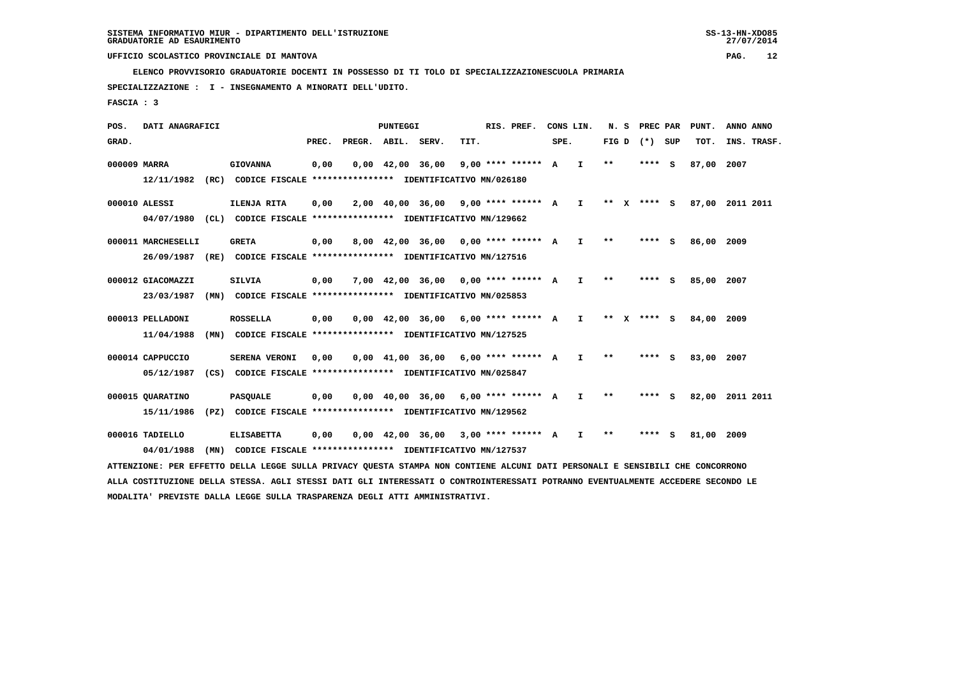**ELENCO PROVVISORIO GRADUATORIE DOCENTI IN POSSESSO DI TI TOLO DI SPECIALIZZAZIONESCUOLA PRIMARIA**

 **SPECIALIZZAZIONE : I - INSEGNAMENTO A MINORATI DELL'UDITO.**

 **FASCIA : 3**

 **POS. DATI ANAGRAFICI PUNTEGGI RIS. PREF. CONS LIN. N. S PREC PAR PUNT. ANNO ANNO**GRAD. **PREGRADE SERVEGE SERVE SERVE SPEREGE SPEREGALES SPEREGALES SPEREGALES SPEREGALES SPEREGALES SUP TOT. INS. TRASF. 000009 MARRA GIOVANNA 0,00 0,00 42,00 36,00 9,00 \*\*\*\* \*\*\*\*\*\* A I \*\* \*\*\*\* S 87,00 2007 12/11/1982 (RC) CODICE FISCALE \*\*\*\*\*\*\*\*\*\*\*\*\*\*\*\* IDENTIFICATIVO MN/026180 000010 ALESSI ILENJA RITA 0,00 2,00 40,00 36,00 9,00 \*\*\*\* \*\*\*\*\*\* A I \*\* X \*\*\*\* S 87,00 2011 2011 04/07/1980 (CL) CODICE FISCALE \*\*\*\*\*\*\*\*\*\*\*\*\*\*\*\* IDENTIFICATIVO MN/129662 000011 MARCHESELLI GRETA 0,00 8,00 42,00 36,00 0,00 \*\*\*\* \*\*\*\*\*\* A I \*\* \*\*\*\* S 86,00 2009 26/09/1987 (RE) CODICE FISCALE \*\*\*\*\*\*\*\*\*\*\*\*\*\*\*\* IDENTIFICATIVO MN/127516 000012 GIACOMAZZI SILVIA 0,00 7,00 42,00 36,00 0,00 \*\*\*\* \*\*\*\*\*\* A I \*\* \*\*\*\* S 85,00 2007 23/03/1987 (MN) CODICE FISCALE \*\*\*\*\*\*\*\*\*\*\*\*\*\*\*\* IDENTIFICATIVO MN/025853 000013 PELLADONI ROSSELLA 0,00 0,00 42,00 36,00 6,00 \*\*\*\* \*\*\*\*\*\* A I \*\* X \*\*\*\* S 84,00 2009 11/04/1988 (MN) CODICE FISCALE \*\*\*\*\*\*\*\*\*\*\*\*\*\*\*\* IDENTIFICATIVO MN/127525 000014 CAPPUCCIO SERENA VERONI 0,00 0,00 41,00 36,00 6,00 \*\*\*\* \*\*\*\*\*\* A I \*\* \*\*\*\* S 83,00 2007 05/12/1987 (CS) CODICE FISCALE \*\*\*\*\*\*\*\*\*\*\*\*\*\*\*\* IDENTIFICATIVO MN/025847 000015 QUARATINO PASQUALE 0,00 0,00 40,00 36,00 6,00 \*\*\*\* \*\*\*\*\*\* A I \*\* \*\*\*\* S 82,00 2011 2011 15/11/1986 (PZ) CODICE FISCALE \*\*\*\*\*\*\*\*\*\*\*\*\*\*\*\* IDENTIFICATIVO MN/129562**

 **000016 TADIELLO ELISABETTA 0,00 0,00 42,00 36,00 3,00 \*\*\*\* \*\*\*\*\*\* A I \*\* \*\*\*\* S 81,00 2009 04/01/1988 (MN) CODICE FISCALE \*\*\*\*\*\*\*\*\*\*\*\*\*\*\*\* IDENTIFICATIVO MN/127537**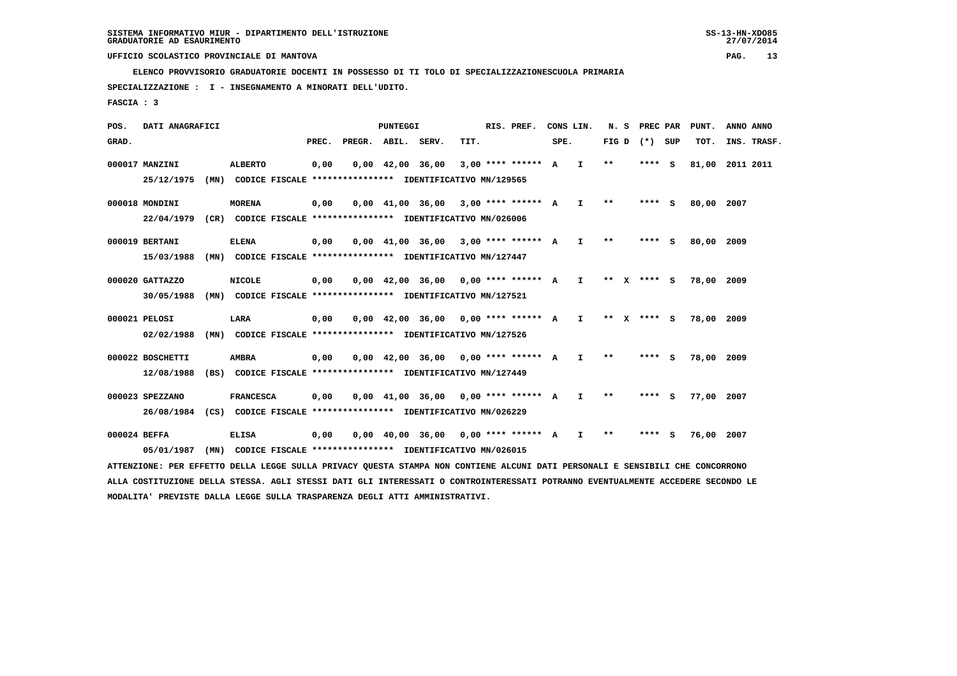**ELENCO PROVVISORIO GRADUATORIE DOCENTI IN POSSESSO DI TI TOLO DI SPECIALIZZAZIONESCUOLA PRIMARIA**

 **SPECIALIZZAZIONE : I - INSEGNAMENTO A MINORATI DELL'UDITO.**

 **FASCIA : 3**

 **POS. DATI ANAGRAFICI PUNTEGGI RIS. PREF. CONS LIN. N. S PREC PAR PUNT. ANNO ANNO**GRAD. **PREGRADE SERVEGE SERVE SERVE SPEREGE SPEREGALES SPEREGALES SPEREGALES SPEREGALES SPEREGALES SUP TOT. INS. TRASF. 000017 MANZINI ALBERTO 0,00 0,00 42,00 36,00 3,00 \*\*\*\* \*\*\*\*\*\* A I \*\* \*\*\*\* S 81,00 2011 2011 25/12/1975 (MN) CODICE FISCALE \*\*\*\*\*\*\*\*\*\*\*\*\*\*\*\* IDENTIFICATIVO MN/129565 000018 MONDINI MORENA 0,00 0,00 41,00 36,00 3,00 \*\*\*\* \*\*\*\*\*\* A I \*\* \*\*\*\* S 80,00 2007 22/04/1979 (CR) CODICE FISCALE \*\*\*\*\*\*\*\*\*\*\*\*\*\*\*\* IDENTIFICATIVO MN/026006 000019 BERTANI ELENA 0,00 0,00 41,00 36,00 3,00 \*\*\*\* \*\*\*\*\*\* A I \*\* \*\*\*\* S 80,00 2009 15/03/1988 (MN) CODICE FISCALE \*\*\*\*\*\*\*\*\*\*\*\*\*\*\*\* IDENTIFICATIVO MN/127447 000020 GATTAZZO NICOLE 0,00 0,00 42,00 36,00 0,00 \*\*\*\* \*\*\*\*\*\* A I \*\* X \*\*\*\* S 78,00 2009 30/05/1988 (MN) CODICE FISCALE \*\*\*\*\*\*\*\*\*\*\*\*\*\*\*\* IDENTIFICATIVO MN/127521 000021 PELOSI LARA 0,00 0,00 42,00 36,00 0,00 \*\*\*\* \*\*\*\*\*\* A I \*\* X \*\*\*\* S 78,00 2009 02/02/1988 (MN) CODICE FISCALE \*\*\*\*\*\*\*\*\*\*\*\*\*\*\*\* IDENTIFICATIVO MN/127526 000022 BOSCHETTI AMBRA 0,00 0,00 42,00 36,00 0,00 \*\*\*\* \*\*\*\*\*\* A I \*\* \*\*\*\* S 78,00 2009 12/08/1988 (BS) CODICE FISCALE \*\*\*\*\*\*\*\*\*\*\*\*\*\*\*\* IDENTIFICATIVO MN/127449 000023 SPEZZANO FRANCESCA 0,00 0,00 41,00 36,00 0,00 \*\*\*\* \*\*\*\*\*\* A I \*\* \*\*\*\* S 77,00 2007 26/08/1984 (CS) CODICE FISCALE \*\*\*\*\*\*\*\*\*\*\*\*\*\*\*\* IDENTIFICATIVO MN/026229 000024 BEFFA ELISA 0,00 0,00 40,00 36,00 0,00 \*\*\*\* \*\*\*\*\*\* A I \*\* \*\*\*\* S 76,00 2007 05/01/1987 (MN) CODICE FISCALE \*\*\*\*\*\*\*\*\*\*\*\*\*\*\*\* IDENTIFICATIVO MN/026015**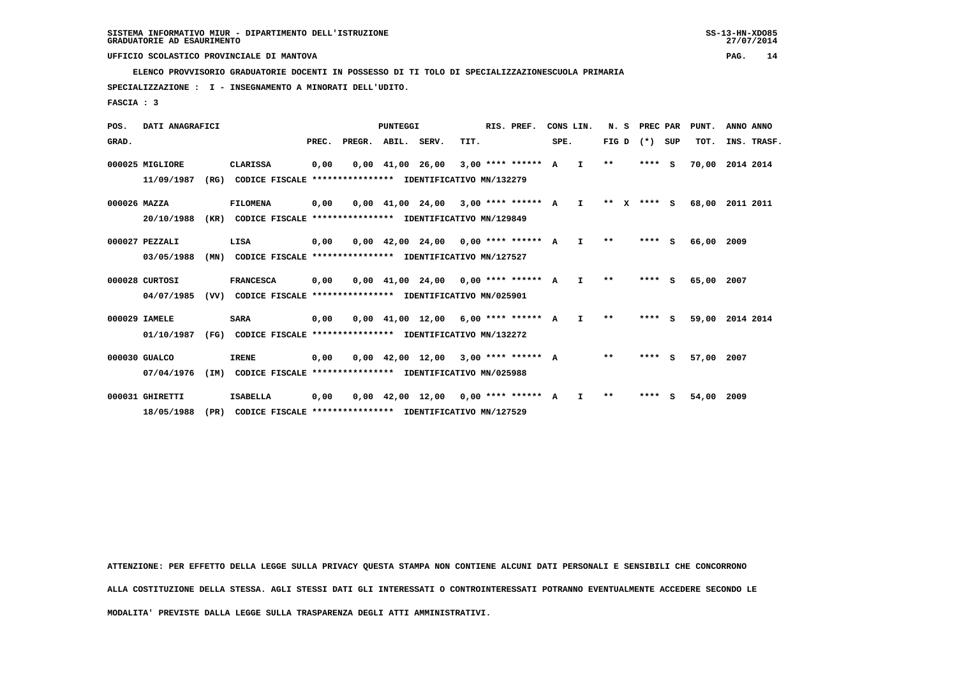**ELENCO PROVVISORIO GRADUATORIE DOCENTI IN POSSESSO DI TI TOLO DI SPECIALIZZAZIONESCUOLA PRIMARIA**

 **SPECIALIZZAZIONE : I - INSEGNAMENTO A MINORATI DELL'UDITO.**

 **FASCIA : 3**

| POS.         | DATI ANAGRAFICI |      |                                                          |       |                    | <b>PUNTEGGI</b>                |                                                                |      | RIS. PREF.           |      | CONS LIN.    | N.S     | PREC PAR |          | PUNT. | ANNO ANNO   |
|--------------|-----------------|------|----------------------------------------------------------|-------|--------------------|--------------------------------|----------------------------------------------------------------|------|----------------------|------|--------------|---------|----------|----------|-------|-------------|
| GRAD.        |                 |      |                                                          | PREC. | PREGR. ABIL. SERV. |                                |                                                                | TIT. |                      | SPE. |              | FIG D   | $(* )$   | SUP      | TOT.  | INS. TRASF. |
|              | 000025 MIGLIORE |      | CLARISSA                                                 | 0,00  |                    | $0,00 \quad 41,00 \quad 26,00$ |                                                                |      | $3,00$ **** ****** A |      | $\mathbf{I}$ | $**$    | ****     | - S      | 70,00 | 2014 2014   |
|              | 11/09/1987      | (RG) | CODICE FISCALE **************** IDENTIFICATIVO MN/132279 |       |                    |                                |                                                                |      |                      |      |              |         |          |          |       |             |
| 000026 MAZZA |                 |      | <b>FILOMENA</b>                                          | 0,00  |                    |                                | $0,00$ 41,00 24,00 3,00 **** ****** A I                        |      |                      |      |              | $***$ X | $***$ S  |          | 68,00 | 2011 2011   |
|              | 20/10/1988      | (KR) | CODICE FISCALE **************** IDENTIFICATIVO MN/129849 |       |                    |                                |                                                                |      |                      |      |              |         |          |          |       |             |
|              | 000027 PEZZALI  |      | LISA                                                     | 0,00  |                    |                                | $0.00$ 42.00 24.00 0.00 **** ****** A                          |      |                      |      | $\mathbf{I}$ | $* *$   | ****     | s        | 66,00 | 2009        |
|              | 03/05/1988      | (MN) | CODICE FISCALE **************** IDENTIFICATIVO MN/127527 |       |                    |                                |                                                                |      |                      |      |              |         |          |          |       |             |
|              | 000028 CURTOSI  |      | <b>FRANCESCA</b>                                         | 0,00  |                    |                                | $0.00 \quad 41.00 \quad 24.00 \quad 0.00 \quad *** \quad ***}$ |      |                      |      | I.           | **      | ****     | S.       | 65,00 | 2007        |
|              | 04/07/1985      | (VV) | CODICE FISCALE **************** IDENTIFICATIVO MN/025901 |       |                    |                                |                                                                |      |                      |      |              |         |          |          |       |             |
|              | 000029 IAMELE   |      | <b>SARA</b>                                              | 0,00  |                    | $0.00 \quad 41.00 \quad 12.00$ |                                                                |      | $6.00*********$ A    |      | I.           | $* *$   | ****     | <b>S</b> | 59,00 | 2014 2014   |
|              | 01/10/1987      | (FG) | CODICE FISCALE **************** IDENTIFICATIVO MN/132272 |       |                    |                                |                                                                |      |                      |      |              |         |          |          |       |             |
|              | 000030 GUALCO   |      | <b>IRENE</b>                                             | 0,00  |                    | $0,00 \quad 42,00 \quad 12,00$ |                                                                |      | $3.00$ **** ****** A |      |              | $**$    | ****     | - 5      | 57,00 | 2007        |
|              | 07/04/1976      | (IM) | CODICE FISCALE **************** IDENTIFICATIVO MN/025988 |       |                    |                                |                                                                |      |                      |      |              |         |          |          |       |             |
|              | 000031 GHIRETTI |      | <b>ISABELLA</b>                                          | 0,00  |                    |                                | $0,00$ 42,00 12,00 0,00 **** ****** A                          |      |                      |      | T            | $* *$   | ****     | S.       | 54,00 | 2009        |

 **18/05/1988 (PR) CODICE FISCALE \*\*\*\*\*\*\*\*\*\*\*\*\*\*\*\* IDENTIFICATIVO MN/127529**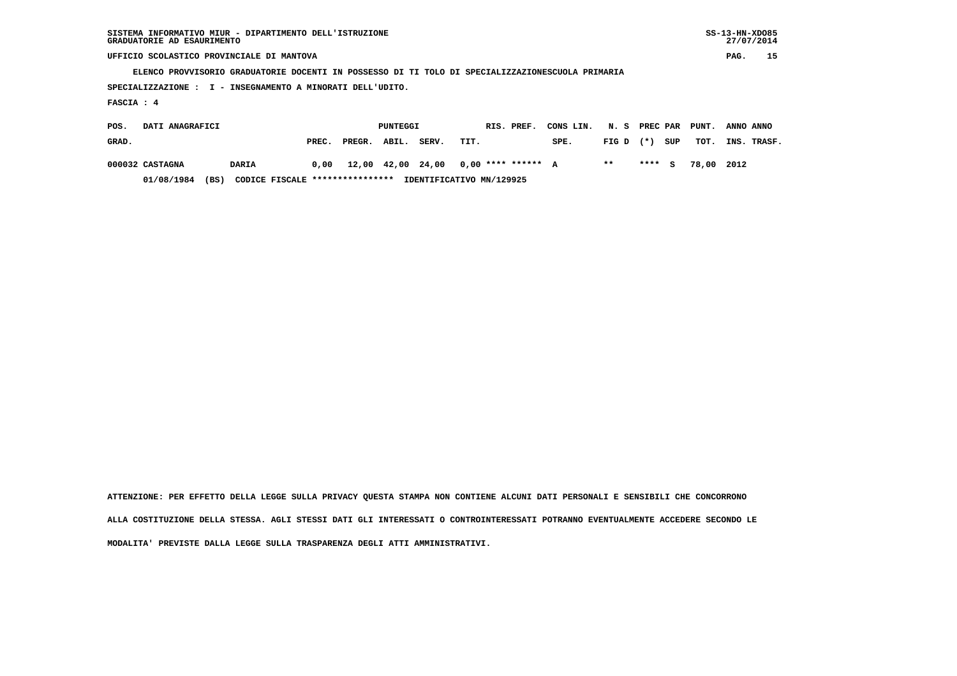|                                                                                                  |              |       |        | $SS-13-HN-XDO85$<br>SISTEMA INFORMATIVO MIUR - DIPARTIMENTO DELL'ISTRUZIONE<br>GRADUATORIE AD ESAURIMENTO |       |      |  |                      |           |       |          |     |       |           |        |  |  |  |
|--------------------------------------------------------------------------------------------------|--------------|-------|--------|-----------------------------------------------------------------------------------------------------------|-------|------|--|----------------------|-----------|-------|----------|-----|-------|-----------|--------|--|--|--|
| UFFICIO SCOLASTICO PROVINCIALE DI MANTOVA                                                        |              |       |        |                                                                                                           |       |      |  |                      |           |       |          |     |       | PAG.      | 15     |  |  |  |
| ELENCO PROVVISORIO GRADUATORIE DOCENTI IN POSSESSO DI TI TOLO DI SPECIALIZZAZIONESCUOLA PRIMARIA |              |       |        |                                                                                                           |       |      |  |                      |           |       |          |     |       |           |        |  |  |  |
| SPECIALIZZAZIONE : I - INSEGNAMENTO A MINORATI DELL'UDITO.                                       |              |       |        |                                                                                                           |       |      |  |                      |           |       |          |     |       |           |        |  |  |  |
| FASCIA : 4                                                                                       |              |       |        |                                                                                                           |       |      |  |                      |           |       |          |     |       |           |        |  |  |  |
| DATI ANAGRAFICI<br>POS.                                                                          |              |       |        | PUNTEGGI                                                                                                  |       |      |  | RIS. PREF.           | CONS LIN. | N. S  | PREC PAR |     | PUNT. | ANNO ANNO |        |  |  |  |
| GRAD.                                                                                            |              | PREC. | PREGR. | ABIL.                                                                                                     | SERV. | TIT. |  |                      | SPE.      | FIG D | $(* )$   | SUP | TOT.  | INS.      | TRASF. |  |  |  |
| 000032 CASTAGNA                                                                                  | <b>DARIA</b> | 0,00  |        | 12,00 42,00 24,00                                                                                         |       |      |  | $0.00$ **** ****** A |           | $***$ | $***$ S  |     | 78,00 | 2012      |        |  |  |  |

 **01/08/1984 (BS) CODICE FISCALE \*\*\*\*\*\*\*\*\*\*\*\*\*\*\*\* IDENTIFICATIVO MN/129925**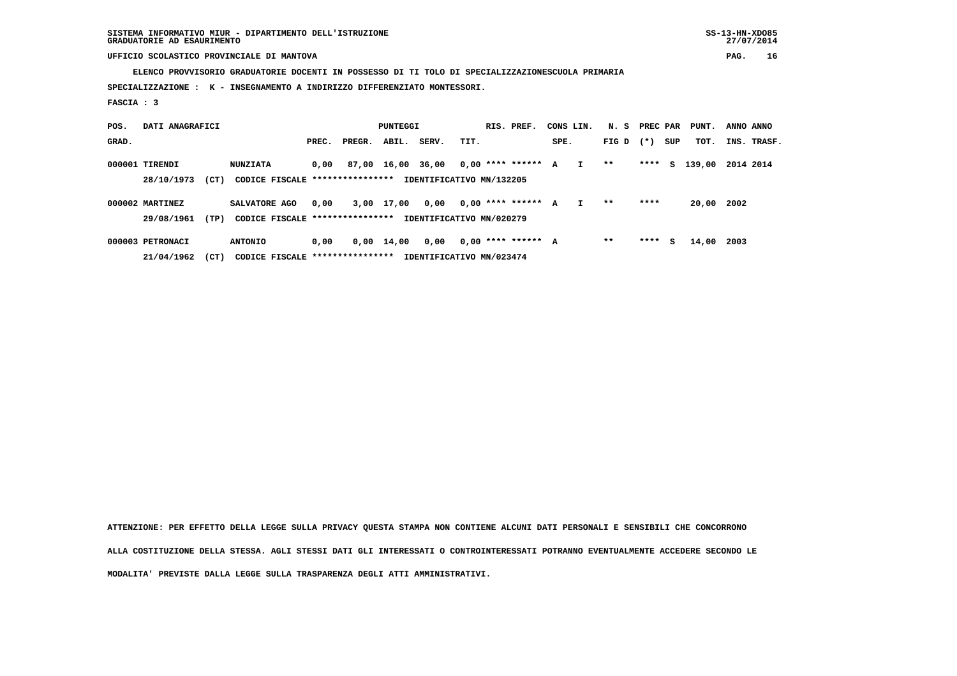**ELENCO PROVVISORIO GRADUATORIE DOCENTI IN POSSESSO DI TI TOLO DI SPECIALIZZAZIONESCUOLA PRIMARIA**

 **SPECIALIZZAZIONE : K - INSEGNAMENTO A INDIRIZZO DIFFERENZIATO MONTESSORI.**

 **FASCIA : 3**

| POS.  | DATI ANAGRAFICI |      |                                 | PUNTEGGI |        |       |                          |      | RIS. PREF.           | CONS LIN. |              | N. S PREC PAR |        |     | PUNT.  | ANNO ANNO |             |
|-------|-----------------|------|---------------------------------|----------|--------|-------|--------------------------|------|----------------------|-----------|--------------|---------------|--------|-----|--------|-----------|-------------|
| GRAD. |                 |      |                                 | PREC.    | PREGR. | ABIL. | SERV.                    | TIT. |                      | SPE.      |              | FIG D         | $(* )$ | SUP | тот.   |           | INS. TRASF. |
|       | 000001 TIRENDI  |      | <b>NUNZIATA</b>                 | 0.00     | 87,00  | 16,00 | 36,00                    |      | $0.00$ **** ****** A |           | $\mathbf{I}$ | $***$         | ****   | S.  | 139,00 | 2014 2014 |             |
|       | 28/10/1973      | (CT) | CODICE FISCALE **************** |          |        |       | IDENTIFICATIVO MN/132205 |      |                      |           |              |               |        |     |        |           |             |
|       | 000002 MARTINEZ |      | SALVATORE AGO                   | 0,00     | 3,00   | 17,00 | 0,00                     |      | $0,00$ **** ****** A |           |              | $***$         | ****   |     | 20,00  | 2002      |             |
|       | 29/08/1961      | (TP) | CODICE FISCALE **************** |          |        |       | IDENTIFICATIVO MN/020279 |      |                      |           |              |               |        |     |        |           |             |
|       |                 |      |                                 |          |        |       |                          |      |                      |           |              |               |        |     |        |           |             |

 **000003 PETRONACI ANTONIO 0,00 0,00 14,00 0,00 0,00 \*\*\*\* \*\*\*\*\*\* A \*\* \*\*\*\* S 14,00 2003 21/04/1962 (CT) CODICE FISCALE \*\*\*\*\*\*\*\*\*\*\*\*\*\*\*\* IDENTIFICATIVO MN/023474**